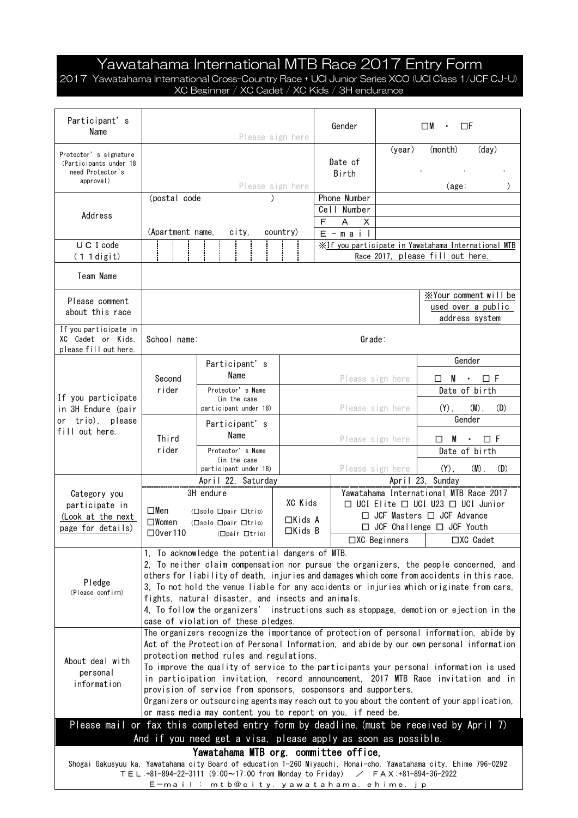## Yawatahama International MTB Race 2017 Entry Form

2017 Yawatahama International Cross-Country Race + UCI Junior Series XCO (UCI Class 1/JCF CJ-U) XC Beginner / XC Cadet / XC Kids / 3H endurance

| Participant's<br>Name                                                                                                                                                                                                                      | Please sign here                                                                                                                                                                                                                                                                                                                                                                                                                                                                                                                                                                                                                                 |                                       |                                |                                       |                                                                                             |                  | Gender                      | $\square$ M<br>ΠF                    |                                                                                         |                                 |  |  |
|--------------------------------------------------------------------------------------------------------------------------------------------------------------------------------------------------------------------------------------------|--------------------------------------------------------------------------------------------------------------------------------------------------------------------------------------------------------------------------------------------------------------------------------------------------------------------------------------------------------------------------------------------------------------------------------------------------------------------------------------------------------------------------------------------------------------------------------------------------------------------------------------------------|---------------------------------------|--------------------------------|---------------------------------------|---------------------------------------------------------------------------------------------|------------------|-----------------------------|--------------------------------------|-----------------------------------------------------------------------------------------|---------------------------------|--|--|
| Protector's signature<br>(Participants under 18<br>need Protector's<br>approval)                                                                                                                                                           |                                                                                                                                                                                                                                                                                                                                                                                                                                                                                                                                                                                                                                                  |                                       |                                |                                       | Please sign here                                                                            |                  | Date of<br>Birth            | (year)                               | (month)<br>(age:                                                                        | (day)                           |  |  |
| Address                                                                                                                                                                                                                                    | (postal code                                                                                                                                                                                                                                                                                                                                                                                                                                                                                                                                                                                                                                     |                                       |                                |                                       |                                                                                             |                  | Phone Number<br>Cell Number |                                      |                                                                                         |                                 |  |  |
|                                                                                                                                                                                                                                            | (Apartment name,<br>city,<br>country)                                                                                                                                                                                                                                                                                                                                                                                                                                                                                                                                                                                                            |                                       |                                |                                       |                                                                                             | F                | A<br>х                      |                                      |                                                                                         |                                 |  |  |
| U C I code                                                                                                                                                                                                                                 |                                                                                                                                                                                                                                                                                                                                                                                                                                                                                                                                                                                                                                                  |                                       |                                |                                       |                                                                                             |                  | $E - m a i$                 |                                      |                                                                                         |                                 |  |  |
| $(11$ digit)                                                                                                                                                                                                                               |                                                                                                                                                                                                                                                                                                                                                                                                                                                                                                                                                                                                                                                  |                                       |                                |                                       |                                                                                             |                  |                             |                                      | XIf you participate in Yawatahama International MTB<br>Race 2017, please fill out here. |                                 |  |  |
| Team Name                                                                                                                                                                                                                                  |                                                                                                                                                                                                                                                                                                                                                                                                                                                                                                                                                                                                                                                  |                                       |                                |                                       |                                                                                             |                  |                             |                                      |                                                                                         |                                 |  |  |
| Please comment                                                                                                                                                                                                                             |                                                                                                                                                                                                                                                                                                                                                                                                                                                                                                                                                                                                                                                  |                                       |                                |                                       |                                                                                             |                  |                             | XYour comment will be                |                                                                                         |                                 |  |  |
| about this race                                                                                                                                                                                                                            |                                                                                                                                                                                                                                                                                                                                                                                                                                                                                                                                                                                                                                                  |                                       |                                |                                       |                                                                                             |                  |                             | used over a public<br>address system |                                                                                         |                                 |  |  |
| If you participate in<br>XC Cadet or Kids.<br>please fill out here.                                                                                                                                                                        |                                                                                                                                                                                                                                                                                                                                                                                                                                                                                                                                                                                                                                                  | Grade:<br>School name:                |                                |                                       |                                                                                             |                  |                             |                                      |                                                                                         |                                 |  |  |
|                                                                                                                                                                                                                                            |                                                                                                                                                                                                                                                                                                                                                                                                                                                                                                                                                                                                                                                  |                                       | Participant's                  |                                       |                                                                                             |                  |                             |                                      |                                                                                         | Gender                          |  |  |
|                                                                                                                                                                                                                                            | Second                                                                                                                                                                                                                                                                                                                                                                                                                                                                                                                                                                                                                                           | Name                                  |                                |                                       |                                                                                             |                  | Please sign here            |                                      |                                                                                         | $\square$ M $\cdot$ $\square$ F |  |  |
| If you participate<br>in 3H Endure (pair<br>or trio), please<br>fill out here.                                                                                                                                                             | rider                                                                                                                                                                                                                                                                                                                                                                                                                                                                                                                                                                                                                                            |                                       | Protector's Name               |                                       |                                                                                             |                  |                             |                                      |                                                                                         | Date of birth                   |  |  |
|                                                                                                                                                                                                                                            |                                                                                                                                                                                                                                                                                                                                                                                                                                                                                                                                                                                                                                                  | (in the case<br>participant under 18) |                                |                                       |                                                                                             |                  |                             | Please sign here                     | $(Y)$ ,                                                                                 | $(M)$ ,<br>(D)                  |  |  |
|                                                                                                                                                                                                                                            |                                                                                                                                                                                                                                                                                                                                                                                                                                                                                                                                                                                                                                                  | Participant's                         |                                |                                       |                                                                                             |                  |                             |                                      |                                                                                         | Gender                          |  |  |
|                                                                                                                                                                                                                                            | Third                                                                                                                                                                                                                                                                                                                                                                                                                                                                                                                                                                                                                                            | Name                                  |                                |                                       |                                                                                             | Please sign here |                             |                                      |                                                                                         | $\Box$ M $\cdot$ $\Box$ F       |  |  |
|                                                                                                                                                                                                                                            | rider                                                                                                                                                                                                                                                                                                                                                                                                                                                                                                                                                                                                                                            | Protector's Name<br>(in the case      |                                |                                       |                                                                                             |                  |                             |                                      | Date of birth                                                                           |                                 |  |  |
|                                                                                                                                                                                                                                            | participant under 18)                                                                                                                                                                                                                                                                                                                                                                                                                                                                                                                                                                                                                            |                                       |                                |                                       | Please sign here                                                                            |                  | $(Y)$ ,                     | $(M)$ ,<br>(D)                       |                                                                                         |                                 |  |  |
|                                                                                                                                                                                                                                            | April 22, Saturday<br>3H endure                                                                                                                                                                                                                                                                                                                                                                                                                                                                                                                                                                                                                  |                                       |                                |                                       |                                                                                             |                  | April 23, Sunday            |                                      |                                                                                         |                                 |  |  |
| Category you                                                                                                                                                                                                                               |                                                                                                                                                                                                                                                                                                                                                                                                                                                                                                                                                                                                                                                  |                                       | XC Kids                        |                                       | Yawatahama International MTB Race 2017<br>$\Box$ UCI Elite $\Box$ UCI U23 $\Box$ UCI Junior |                  |                             |                                      |                                                                                         |                                 |  |  |
| participate in<br>(Look at the next                                                                                                                                                                                                        | □Men                                                                                                                                                                                                                                                                                                                                                                                                                                                                                                                                                                                                                                             | (□solo □pair □trio)                   |                                | $\Box$ JCF Masters $\Box$ JCF Advance |                                                                                             |                  |                             |                                      |                                                                                         |                                 |  |  |
| page for details)                                                                                                                                                                                                                          | $\square$ Women                                                                                                                                                                                                                                                                                                                                                                                                                                                                                                                                                                                                                                  | (□solo □pair □trio)                   | $\Box$ Kids A<br>$\Box$ Kids B |                                       | □ JCF Challenge □ JCF Youth                                                                 |                  |                             |                                      |                                                                                         |                                 |  |  |
|                                                                                                                                                                                                                                            | $\square$ 0ver110<br>(□pair □trio)                                                                                                                                                                                                                                                                                                                                                                                                                                                                                                                                                                                                               |                                       |                                |                                       |                                                                                             |                  | □XC Beginners<br>□XC Cadet  |                                      |                                                                                         |                                 |  |  |
| Pledge<br>(Please confirm)                                                                                                                                                                                                                 | 1, To acknowledge the potential dangers of MTB.<br>2. To neither claim compensation nor pursue the organizers, the people concerned, and<br>others for liability of death, injuries and damages which come from accidents in this race.<br>3, To not hold the venue liable for any accidents or injuries which originate from cars,<br>fights, natural disaster, and insects and animals.<br>4, To follow the organizers' instructions such as stoppage, demotion or ejection in the<br>case of violation of these pledges.                                                                                                                      |                                       |                                |                                       |                                                                                             |                  |                             |                                      |                                                                                         |                                 |  |  |
| About deal with<br>personal<br>information                                                                                                                                                                                                 | The organizers recognize the importance of protection of personal information, abide by<br>Act of the Protection of Personal Information, and abide by our own personal information<br>protection method rules and regulations.<br>To improve the quality of service to the participants your personal information is used<br>in participation invitation, record announcement, 2017 MTB Race invitation and in<br>provision of service from sponsors, cosponsors and supporters.<br>Organizers or outsourcing agents may reach out to you about the content of your application,<br>or mass media may content you to report on you, if need be. |                                       |                                |                                       |                                                                                             |                  |                             |                                      |                                                                                         |                                 |  |  |
| Please mail or fax this completed entry form by deadline. (must be received by April 7)                                                                                                                                                    |                                                                                                                                                                                                                                                                                                                                                                                                                                                                                                                                                                                                                                                  |                                       |                                |                                       |                                                                                             |                  |                             |                                      |                                                                                         |                                 |  |  |
| And if you need get a visa, please apply as soon as possible.                                                                                                                                                                              |                                                                                                                                                                                                                                                                                                                                                                                                                                                                                                                                                                                                                                                  |                                       |                                |                                       |                                                                                             |                  |                             |                                      |                                                                                         |                                 |  |  |
| Yawatahama MTB org. committee office,                                                                                                                                                                                                      |                                                                                                                                                                                                                                                                                                                                                                                                                                                                                                                                                                                                                                                  |                                       |                                |                                       |                                                                                             |                  |                             |                                      |                                                                                         |                                 |  |  |
| Shogai Gakusyuu ka, Yawatahama city Board of education 1-260 Miyauchi, Honai-cho, Yawatahama city, Ehime 796-0292<br>TEL:+81-894-22-3111 (9:00~17:00 from Monday to Friday) / FAX:+81-894-36-2922<br>E—mail : mtb@city.yawatahama.ehime.jp |                                                                                                                                                                                                                                                                                                                                                                                                                                                                                                                                                                                                                                                  |                                       |                                |                                       |                                                                                             |                  |                             |                                      |                                                                                         |                                 |  |  |